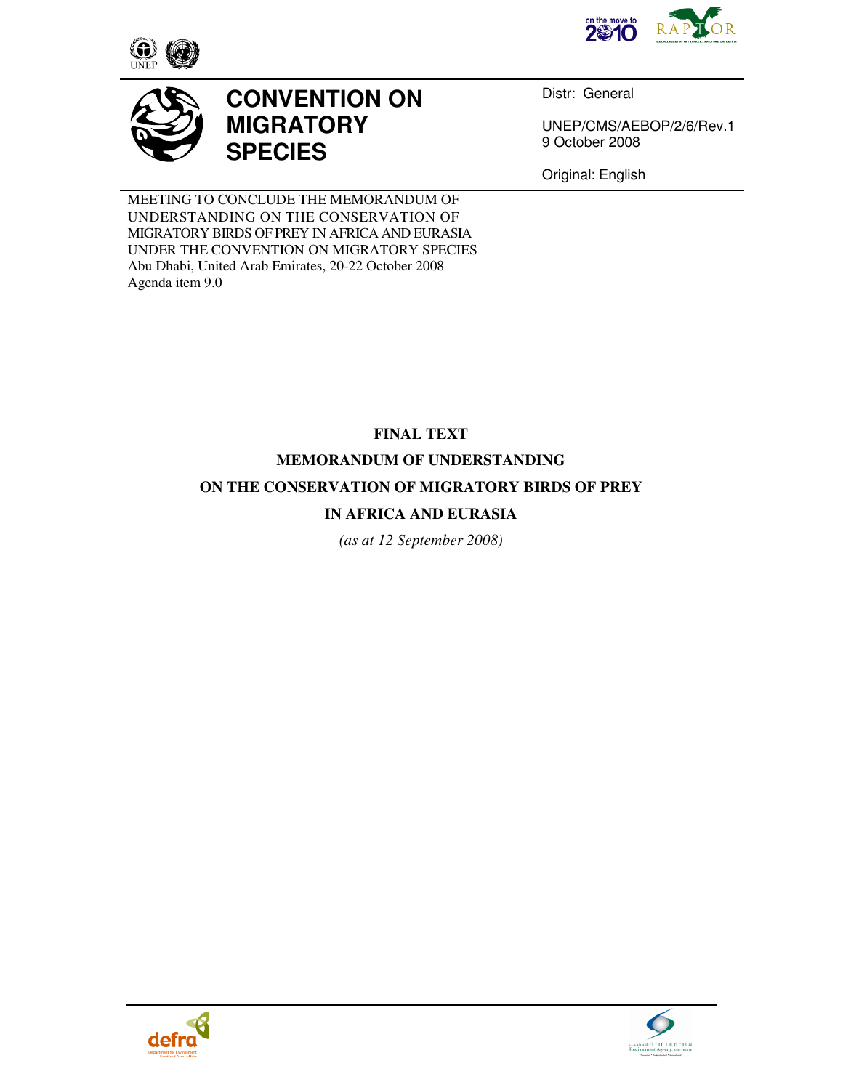





# **CONVENTION ON MIGRATORY SPECIES**

Distr: General

UNEP/CMS/AEBOP/2/6/Rev.1 9 October 2008

Original: English

MEETING TO CONCLUDE THE MEMORANDUM OF UNDERSTANDING ON THE CONSERVATION OF MIGRATORY BIRDS OF PREY IN AFRICA AND EURASIA UNDER THE CONVENTION ON MIGRATORY SPECIES Abu Dhabi, United Arab Emirates, 20-22 October 2008 Agenda item 9.0

## **FINAL TEXT**

## **MEMORANDUM OF UNDERSTANDING**

## **ON THE CONSERVATION OF MIGRATORY BIRDS OF PREY**

## **IN AFRICA AND EURASIA**

*(as at 12 September 2008)* 



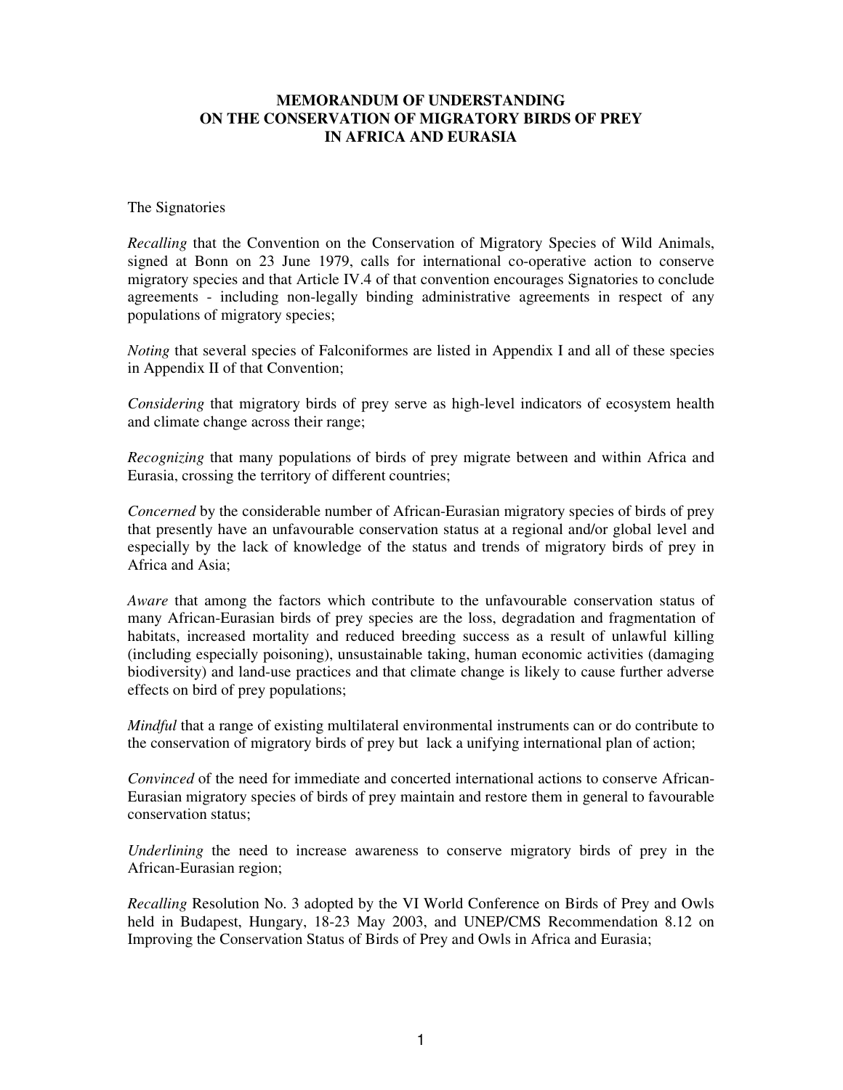#### **MEMORANDUM OF UNDERSTANDING ON THE CONSERVATION OF MIGRATORY BIRDS OF PREY IN AFRICA AND EURASIA**

#### The Signatories

*Recalling* that the Convention on the Conservation of Migratory Species of Wild Animals, signed at Bonn on 23 June 1979, calls for international co-operative action to conserve migratory species and that Article IV.4 of that convention encourages Signatories to conclude agreements - including non-legally binding administrative agreements in respect of any populations of migratory species;

*Noting* that several species of Falconiformes are listed in Appendix I and all of these species in Appendix II of that Convention;

*Considering* that migratory birds of prey serve as high-level indicators of ecosystem health and climate change across their range;

*Recognizing* that many populations of birds of prey migrate between and within Africa and Eurasia, crossing the territory of different countries;

*Concerned* by the considerable number of African-Eurasian migratory species of birds of prey that presently have an unfavourable conservation status at a regional and/or global level and especially by the lack of knowledge of the status and trends of migratory birds of prey in Africa and Asia;

*Aware* that among the factors which contribute to the unfavourable conservation status of many African-Eurasian birds of prey species are the loss, degradation and fragmentation of habitats, increased mortality and reduced breeding success as a result of unlawful killing (including especially poisoning), unsustainable taking, human economic activities (damaging biodiversity) and land-use practices and that climate change is likely to cause further adverse effects on bird of prey populations;

*Mindful* that a range of existing multilateral environmental instruments can or do contribute to the conservation of migratory birds of prey but lack a unifying international plan of action;

*Convinced* of the need for immediate and concerted international actions to conserve African-Eurasian migratory species of birds of prey maintain and restore them in general to favourable conservation status;

*Underlining* the need to increase awareness to conserve migratory birds of prey in the African-Eurasian region;

*Recalling* Resolution No. 3 adopted by the VI World Conference on Birds of Prey and Owls held in Budapest, Hungary, 18-23 May 2003, and UNEP/CMS Recommendation 8.12 on Improving the Conservation Status of Birds of Prey and Owls in Africa and Eurasia;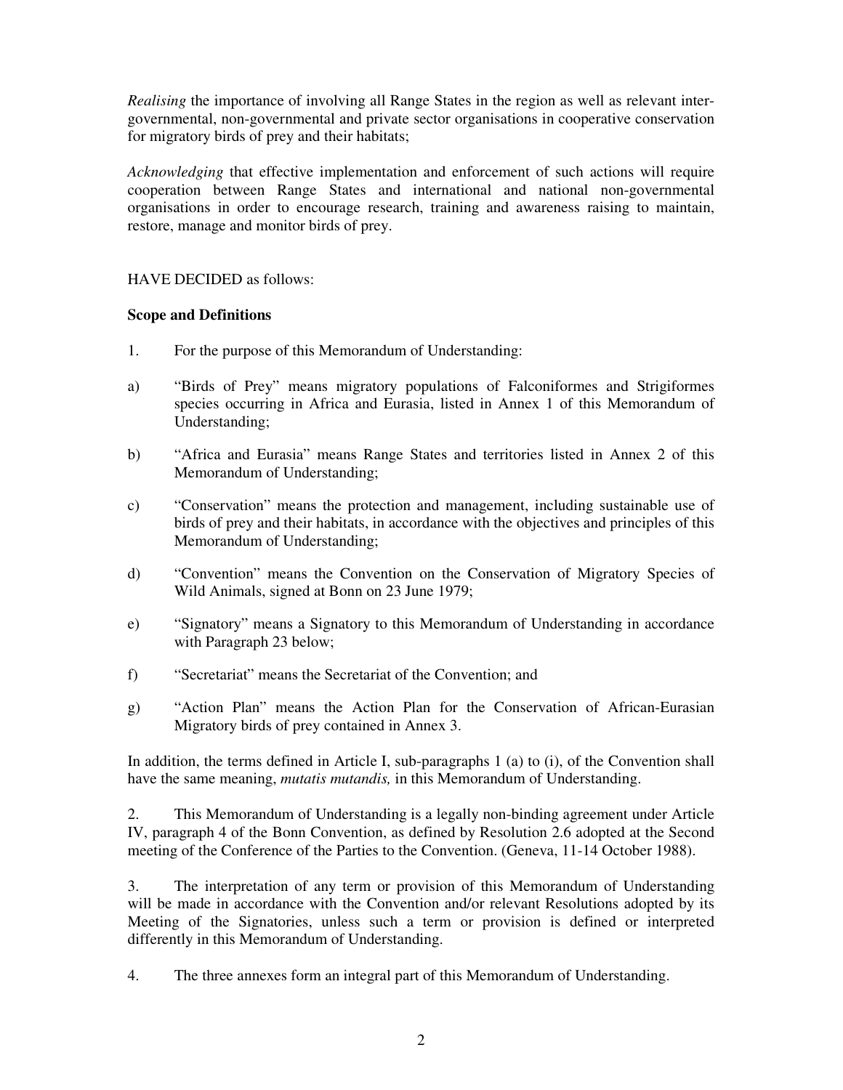*Realising* the importance of involving all Range States in the region as well as relevant intergovernmental, non-governmental and private sector organisations in cooperative conservation for migratory birds of prey and their habitats;

*Acknowledging* that effective implementation and enforcement of such actions will require cooperation between Range States and international and national non-governmental organisations in order to encourage research, training and awareness raising to maintain, restore, manage and monitor birds of prey.

#### HAVE DECIDED as follows:

#### **Scope and Definitions**

- 1. For the purpose of this Memorandum of Understanding:
- a) "Birds of Prey" means migratory populations of Falconiformes and Strigiformes species occurring in Africa and Eurasia, listed in Annex 1 of this Memorandum of Understanding;
- b) "Africa and Eurasia" means Range States and territories listed in Annex 2 of this Memorandum of Understanding;
- c) "Conservation" means the protection and management, including sustainable use of birds of prey and their habitats, in accordance with the objectives and principles of this Memorandum of Understanding;
- d) "Convention" means the Convention on the Conservation of Migratory Species of Wild Animals, signed at Bonn on 23 June 1979;
- e) "Signatory" means a Signatory to this Memorandum of Understanding in accordance with Paragraph 23 below;
- f) "Secretariat" means the Secretariat of the Convention; and
- g) "Action Plan" means the Action Plan for the Conservation of African-Eurasian Migratory birds of prey contained in Annex 3.

In addition, the terms defined in Article I, sub-paragraphs 1 (a) to (i), of the Convention shall have the same meaning, *mutatis mutandis,* in this Memorandum of Understanding.

2. This Memorandum of Understanding is a legally non-binding agreement under Article IV, paragraph 4 of the Bonn Convention, as defined by Resolution 2.6 adopted at the Second meeting of the Conference of the Parties to the Convention. (Geneva, 11-14 October 1988).

3. The interpretation of any term or provision of this Memorandum of Understanding will be made in accordance with the Convention and/or relevant Resolutions adopted by its Meeting of the Signatories, unless such a term or provision is defined or interpreted differently in this Memorandum of Understanding.

4. The three annexes form an integral part of this Memorandum of Understanding.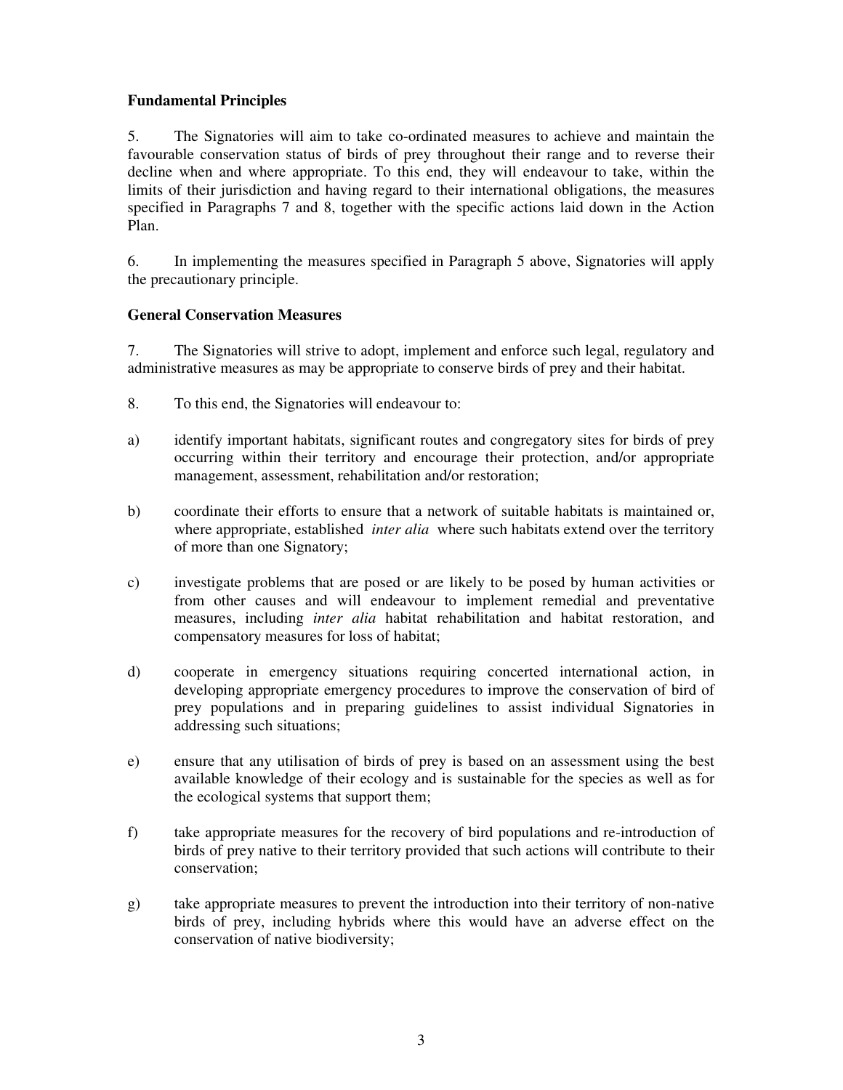### **Fundamental Principles**

5. The Signatories will aim to take co-ordinated measures to achieve and maintain the favourable conservation status of birds of prey throughout their range and to reverse their decline when and where appropriate. To this end, they will endeavour to take, within the limits of their jurisdiction and having regard to their international obligations, the measures specified in Paragraphs 7 and 8, together with the specific actions laid down in the Action Plan.

6. In implementing the measures specified in Paragraph 5 above, Signatories will apply the precautionary principle.

#### **General Conservation Measures**

7. The Signatories will strive to adopt, implement and enforce such legal, regulatory and administrative measures as may be appropriate to conserve birds of prey and their habitat.

- 8. To this end, the Signatories will endeavour to:
- a) identify important habitats, significant routes and congregatory sites for birds of prey occurring within their territory and encourage their protection, and/or appropriate management, assessment, rehabilitation and/or restoration;
- b) coordinate their efforts to ensure that a network of suitable habitats is maintained or, where appropriate, established *inter alia* where such habitats extend over the territory of more than one Signatory;
- c) investigate problems that are posed or are likely to be posed by human activities or from other causes and will endeavour to implement remedial and preventative measures, including *inter alia* habitat rehabilitation and habitat restoration, and compensatory measures for loss of habitat;
- d) cooperate in emergency situations requiring concerted international action, in developing appropriate emergency procedures to improve the conservation of bird of prey populations and in preparing guidelines to assist individual Signatories in addressing such situations;
- e) ensure that any utilisation of birds of prey is based on an assessment using the best available knowledge of their ecology and is sustainable for the species as well as for the ecological systems that support them;
- f) take appropriate measures for the recovery of bird populations and re-introduction of birds of prey native to their territory provided that such actions will contribute to their conservation;
- g) take appropriate measures to prevent the introduction into their territory of non-native birds of prey, including hybrids where this would have an adverse effect on the conservation of native biodiversity;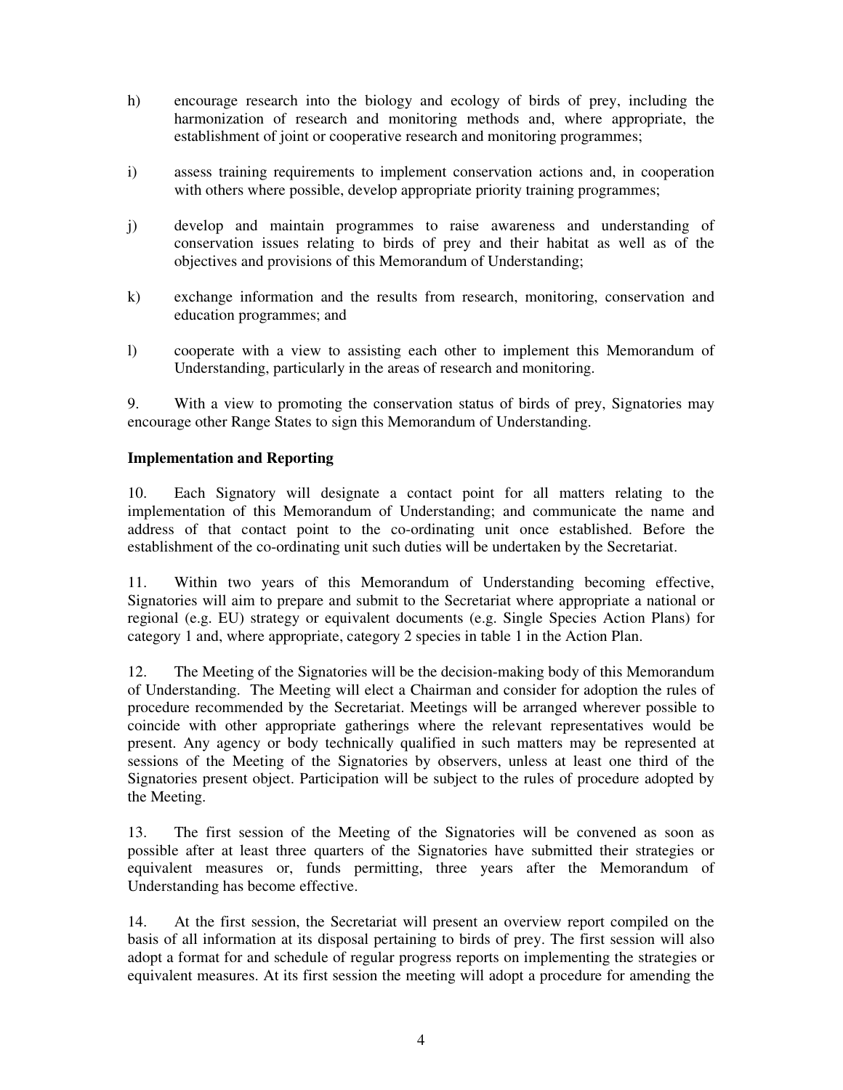- h) encourage research into the biology and ecology of birds of prey, including the harmonization of research and monitoring methods and, where appropriate, the establishment of joint or cooperative research and monitoring programmes;
- i) assess training requirements to implement conservation actions and, in cooperation with others where possible, develop appropriate priority training programmes;
- j) develop and maintain programmes to raise awareness and understanding of conservation issues relating to birds of prey and their habitat as well as of the objectives and provisions of this Memorandum of Understanding;
- k) exchange information and the results from research, monitoring, conservation and education programmes; and
- l) cooperate with a view to assisting each other to implement this Memorandum of Understanding, particularly in the areas of research and monitoring.

9. With a view to promoting the conservation status of birds of prey, Signatories may encourage other Range States to sign this Memorandum of Understanding.

#### **Implementation and Reporting**

10. Each Signatory will designate a contact point for all matters relating to the implementation of this Memorandum of Understanding; and communicate the name and address of that contact point to the co-ordinating unit once established. Before the establishment of the co-ordinating unit such duties will be undertaken by the Secretariat.

11. Within two years of this Memorandum of Understanding becoming effective, Signatories will aim to prepare and submit to the Secretariat where appropriate a national or regional (e.g. EU) strategy or equivalent documents (e.g. Single Species Action Plans) for category 1 and, where appropriate, category 2 species in table 1 in the Action Plan.

12. The Meeting of the Signatories will be the decision-making body of this Memorandum of Understanding. The Meeting will elect a Chairman and consider for adoption the rules of procedure recommended by the Secretariat. Meetings will be arranged wherever possible to coincide with other appropriate gatherings where the relevant representatives would be present. Any agency or body technically qualified in such matters may be represented at sessions of the Meeting of the Signatories by observers, unless at least one third of the Signatories present object. Participation will be subject to the rules of procedure adopted by the Meeting.

13. The first session of the Meeting of the Signatories will be convened as soon as possible after at least three quarters of the Signatories have submitted their strategies or equivalent measures or, funds permitting, three years after the Memorandum of Understanding has become effective.

14. At the first session, the Secretariat will present an overview report compiled on the basis of all information at its disposal pertaining to birds of prey. The first session will also adopt a format for and schedule of regular progress reports on implementing the strategies or equivalent measures. At its first session the meeting will adopt a procedure for amending the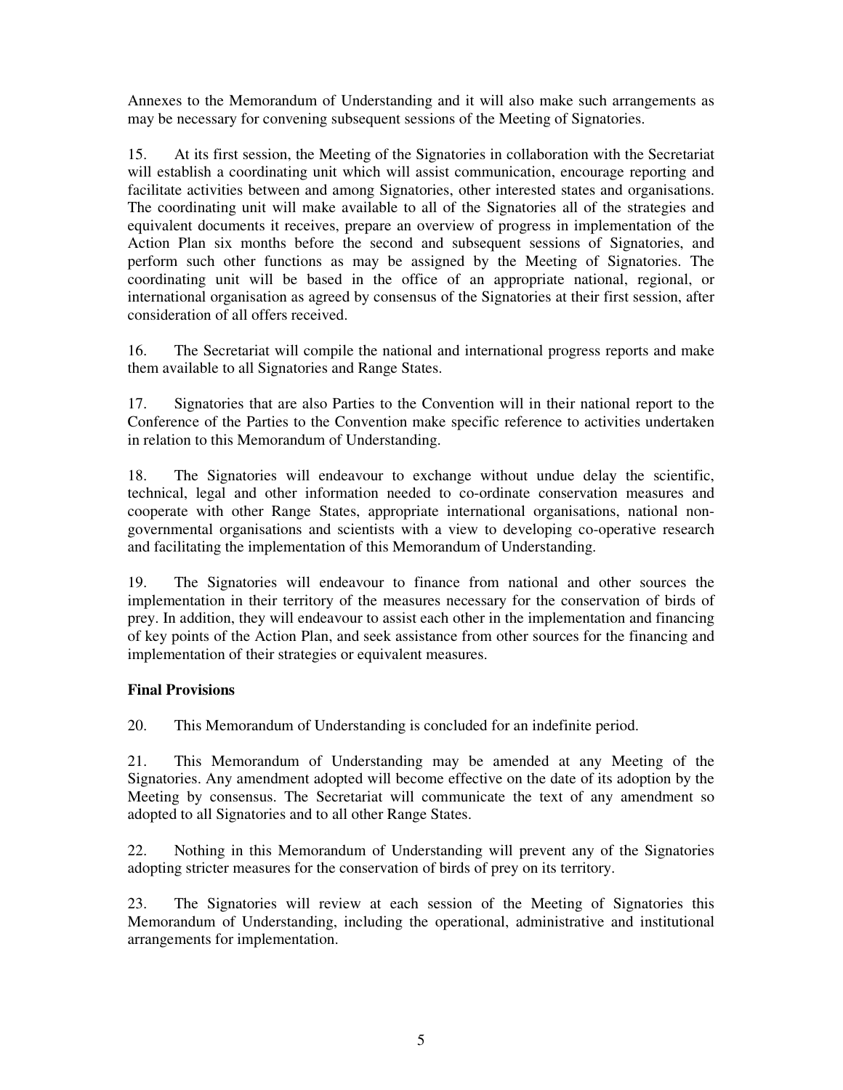Annexes to the Memorandum of Understanding and it will also make such arrangements as may be necessary for convening subsequent sessions of the Meeting of Signatories.

15. At its first session, the Meeting of the Signatories in collaboration with the Secretariat will establish a coordinating unit which will assist communication, encourage reporting and facilitate activities between and among Signatories, other interested states and organisations. The coordinating unit will make available to all of the Signatories all of the strategies and equivalent documents it receives, prepare an overview of progress in implementation of the Action Plan six months before the second and subsequent sessions of Signatories, and perform such other functions as may be assigned by the Meeting of Signatories. The coordinating unit will be based in the office of an appropriate national, regional, or international organisation as agreed by consensus of the Signatories at their first session, after consideration of all offers received.

16. The Secretariat will compile the national and international progress reports and make them available to all Signatories and Range States.

17. Signatories that are also Parties to the Convention will in their national report to the Conference of the Parties to the Convention make specific reference to activities undertaken in relation to this Memorandum of Understanding.

18. The Signatories will endeavour to exchange without undue delay the scientific, technical, legal and other information needed to co-ordinate conservation measures and cooperate with other Range States, appropriate international organisations, national nongovernmental organisations and scientists with a view to developing co-operative research and facilitating the implementation of this Memorandum of Understanding.

19. The Signatories will endeavour to finance from national and other sources the implementation in their territory of the measures necessary for the conservation of birds of prey. In addition, they will endeavour to assist each other in the implementation and financing of key points of the Action Plan, and seek assistance from other sources for the financing and implementation of their strategies or equivalent measures.

### **Final Provisions**

20. This Memorandum of Understanding is concluded for an indefinite period.

21. This Memorandum of Understanding may be amended at any Meeting of the Signatories. Any amendment adopted will become effective on the date of its adoption by the Meeting by consensus. The Secretariat will communicate the text of any amendment so adopted to all Signatories and to all other Range States.

22. Nothing in this Memorandum of Understanding will prevent any of the Signatories adopting stricter measures for the conservation of birds of prey on its territory.

23. The Signatories will review at each session of the Meeting of Signatories this Memorandum of Understanding, including the operational, administrative and institutional arrangements for implementation.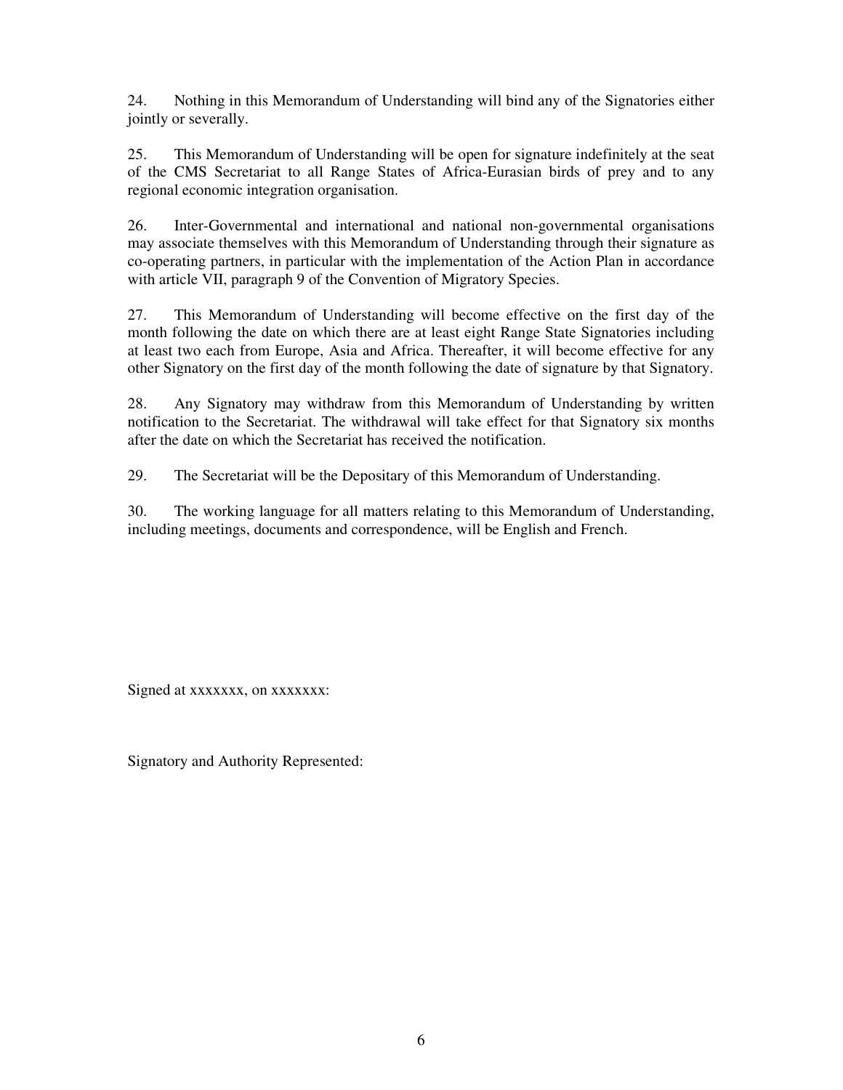24. Nothing in this Memorandum of Understanding will bind any of the Signatories either jointly or severally.

25. This Memorandum of Understanding will be open for signature indefinitely at the seat of the CMS Secretariat to all Range States of Africa-Eurasian birds of prey and to any regional economic integration organisation.

26. Inter-Governmental and international and national non-governmental organisations may associate themselves with this Memorandum of Understanding through their signature as co-operating partners, in particular with the implementation of the Action Plan in accordance with article VII, paragraph 9 of the Convention of Migratory Species.

27. This Memorandum of Understanding will become effective on the first day of the month following the date on which there are at least eight Range State Signatories including at least two each from Europe, Asia and Africa. Thereafter, it will become effective for any other Signatory on the first day of the month following the date of signature by that Signatory.

28. Any Signatory may withdraw from this Memorandum of Understanding by written notification to the Secretariat. The withdrawal will take effect for that Signatory six months after the date on which the Secretariat has received the notification.

29. The Secretariat will be the Depositary of this Memorandum of Understanding.

30. The working language for all matters relating to this Memorandum of Understanding, including meetings, documents and correspondence, will be English and French.

Signed at xxxxxxx, on xxxxxxx:

Signatory and Authority Represented: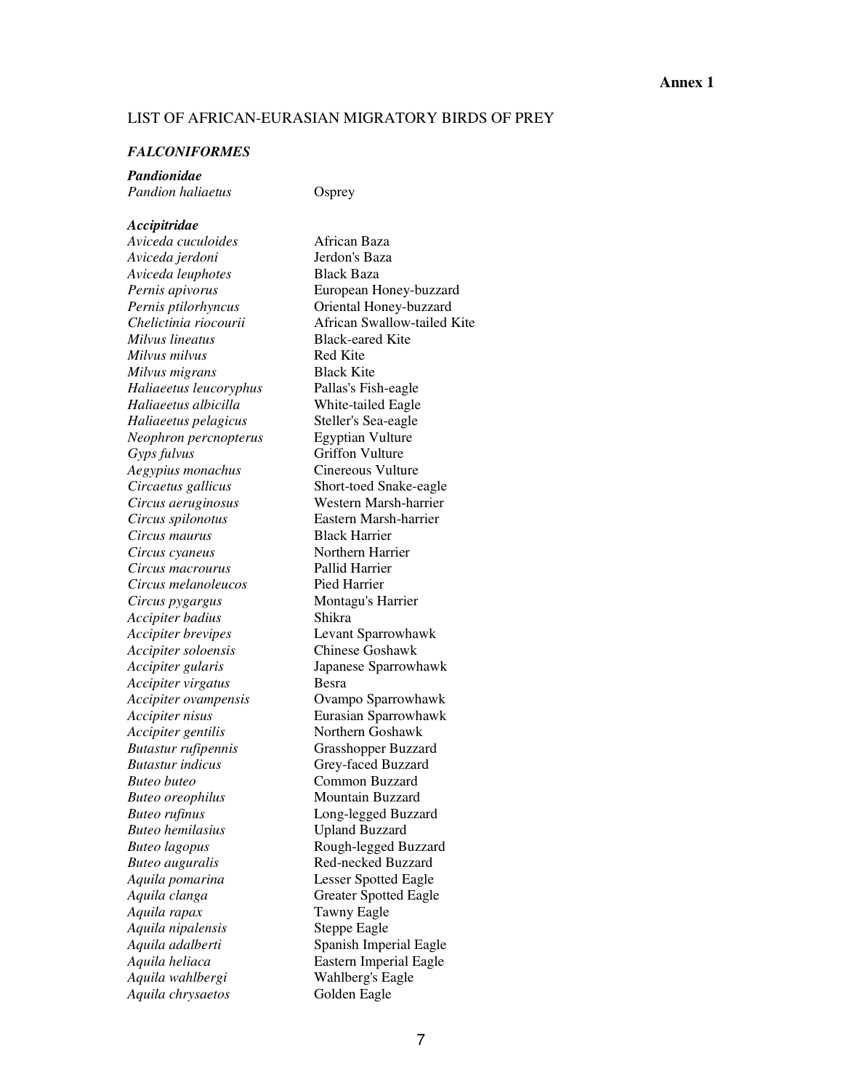#### LIST OF AFRICAN-EURASIAN MIGRATORY BIRDS OF PREY

#### *FALCONIFORMES*

*Pandionidae Pandion haliaetus* Osprey

#### *Accipitridae*

*Aviceda cuculoides* African Baza *Aviceda jerdoni* Jerdon's Baza *Aviceda leuphotes* Black Baza *Pernis apivorus* **European Honey-buzzard** *Pernis ptilorhyncus* **Oriental Honey-buzzard** *Milvus lineatus* Black-eared Kite *Milvus milvus* Red Kite *Milvus migrans* Black Kite *Haliaeetus leucoryphus* Pallas's Fish-eagle *Haliaeetus albicilla* White-tailed Eagle *Haliaeetus pelagicus* Steller's Sea-eagle *Neophron percnopterus* Egyptian Vulture *Gyps fulvus* Griffon Vulture *Aegypius monachus* Cinereous Vulture<br>*Circaetus gallicus* Short-toed Snake-e *Circus aeruginosus* Western Marsh-harrier *Circus spilonotus* Eastern Marsh-harrier *Circus maurus* Black Harrier *Circus cyaneus* Northern Harrier *Circus macrourus* Pallid Harrier *Circus melanoleucos* Pied Harrier *Circus pygargus* Montagu's Harrier *Accipiter badius* Shikra *Accipiter brevipes* Levant Sparrowhawk *Accipiter soloensis* Chinese Goshawk *Accipiter gularis* Japanese Sparrowhawk *Accipiter virgatus* Besra *Accipiter ovampensis* Ovampo Sparrowhawk *Accipiter nisus* Eurasian Sparrowhawk *Accipiter gentilis* Northern Goshawk *Butastur rufipennis* Grasshopper Buzzard *Buteo buteo* Common Buzzard **Buteo oreophilus Mountain Buzzard** *Buteo rufinus* Long-legged Buzzard *Buteo hemilasius* Upland Buzzard *Buteo lagopus* Rough-legged Buzzard *Buteo auguralis* **Red-necked Buzzard** *Aquila pomarina* Lesser Spotted Eagle *Aquila clanga* **Greater Spotted Eagle** *Aquila rapax* Tawny Eagle *Aquila nipalensis* Steppe Eagle *Aquila adalberti* Spanish Imperial Eagle *Aquila heliaca* **Eastern Imperial Eagle** *Aquila wahlbergi* Wahlberg's Eagle *Aquila chrysaetos* Golden Eagle

*Chelictinia riocourii* African Swallow-tailed Kite **Short-toed Snake-eagle** *Butastur indicus* Grey-faced Buzzard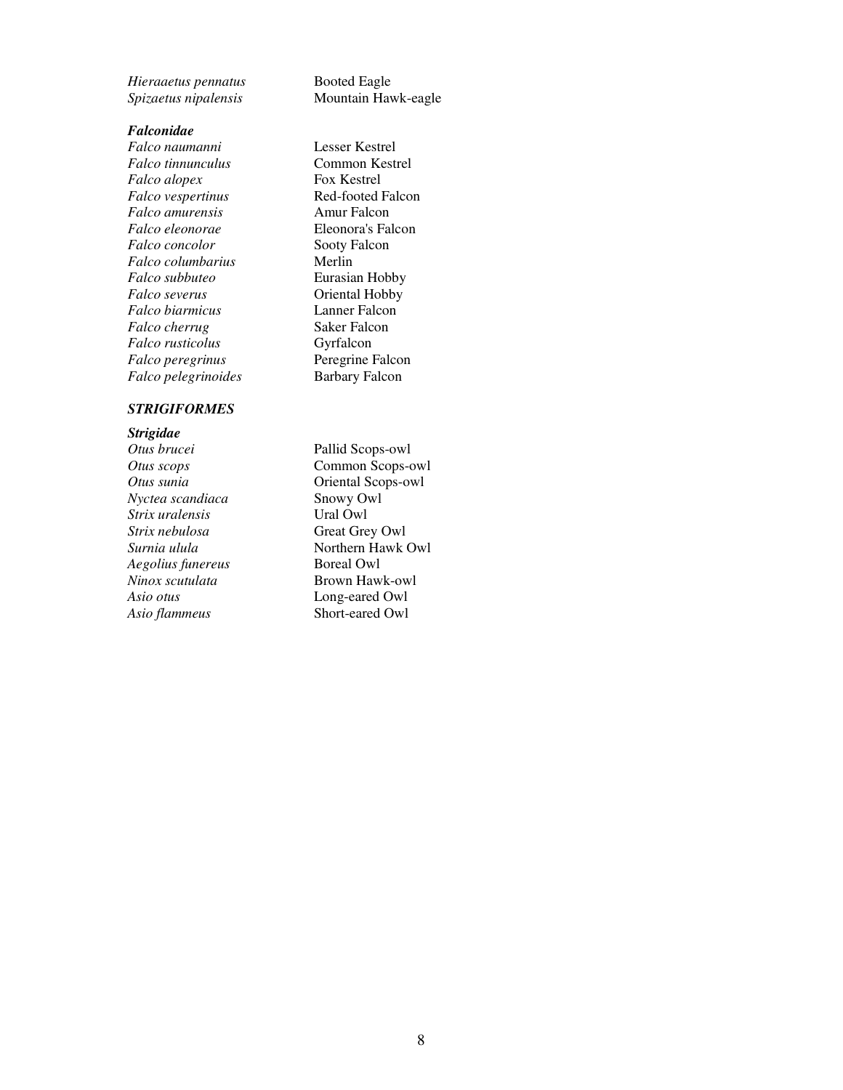*Hieraaetus pennatus* Booted Eagle

#### *Falconidae*

*Falco naumanni* Lesser Kestrel *Falco tinnunculus* Common Kestrel *Falco alopex* **Fox Kestrel** *Falco vespertinus* **Red-footed Falcon**<br> *Falco amurensis* Amur Falcon *Falco amurensis Falco eleonorae* Eleonora's Falcon **Falco concolor Sooty Falcon** *Falco columbarius* Merlin *Falco subbuteo* Eurasian Hobby *Falco severus* **C**oriental Hobby<br> *Falco biarmicus* Lanner Falcon  $Falco$  biarmicus *Falco cherrug* Saker Falcon *Falco rusticolus* Gyrfalcon *Falco peregrinus* Peregrine Falcon *Falco pelegrinoides* Barbary Falcon

#### *STRIGIFORMES*

*Strigidae Nyctea scandiaca* **Snowy Owl**<br> **Strix uralensis Canadiac Company Company Owl**  $Strix$  *uralensis Strix nebulosa* Great Grey Owl *Aegolius funereus* Boreal Owl *Ninox scutulata* **Brown Hawk-owl** *Asio otus* **Long-eared Owl**<br>*Asio flammeus* **CONG SHOTE SHOTE SHOTE SHOTE** Asio flammeus

*Spizaetus nipalensis* Mountain Hawk-eagle

Pallid Scops-owl *Otus scops* **Common Scops-owl** *Otus sunia* **Oriental Scops-owl Surnia ulula Northern Hawk Owl**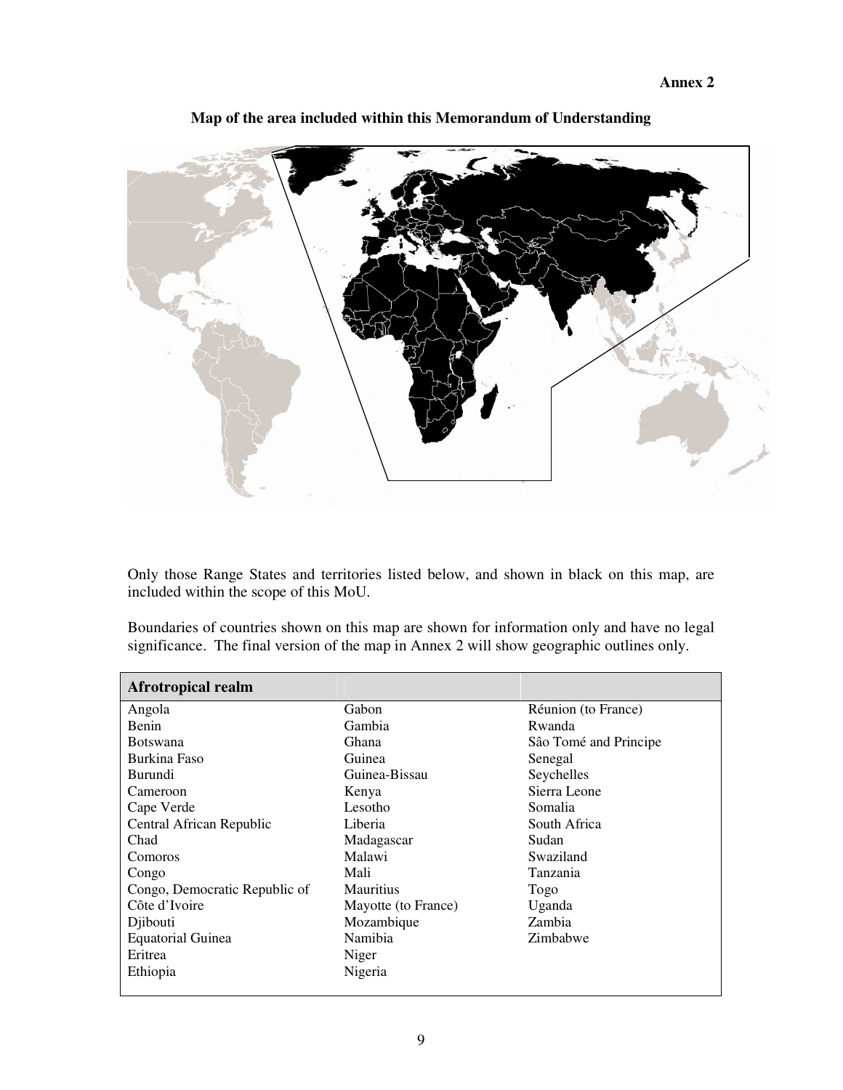**Annex 2** 



**Map of the area included within this Memorandum of Understanding** 

Only those Range States and territories listed below, and shown in black on this map, are included within the scope of this MoU.

Boundaries of countries shown on this map are shown for information only and have no legal significance. The final version of the map in Annex 2 will show geographic outlines only.

| <b>Afrotropical realm</b>     |                     |                       |
|-------------------------------|---------------------|-----------------------|
| Angola                        | Gabon               | Réunion (to France)   |
| Benin                         | Gambia              | Rwanda                |
| <b>Botswana</b>               | Ghana               | São Tomé and Principe |
| Burkina Faso                  | Guinea              | Senegal               |
| Burundi                       | Guinea-Bissau       | Seychelles            |
| Cameroon                      | Kenya               | Sierra Leone          |
| Cape Verde                    | Lesotho             | Somalia               |
| Central African Republic      | Liberia             | South Africa          |
| Chad                          | Madagascar          | Sudan                 |
| Comoros                       | Malawi              | Swaziland             |
| Congo                         | Mali                | Tanzania              |
| Congo, Democratic Republic of | <b>Mauritius</b>    | Togo                  |
| Côte d'Ivoire                 | Mayotte (to France) | Uganda                |
| Djibouti                      | Mozambique          | Zambia                |
| <b>Equatorial Guinea</b>      | Namibia             | Zimbabwe              |
| Eritrea                       | Niger               |                       |
| Ethiopia                      | Nigeria             |                       |